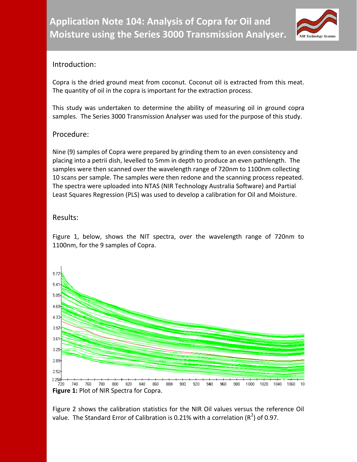

## Introduction:

Copra is the dried ground meat from coconut. Coconut oil is extracted from this meat. The quantity of oil in the copra is important for the extraction process.

This study was undertaken to determine the ability of measuring oil in ground copra samples. The Series 3000 Transmission Analyser was used for the purpose of this study.

## Procedure:

Nine (9) samples of Copra were prepared by grinding them to an even consistency and placing into a petrii dish, levelled to 5mm in depth to produce an even pathlength. The samples were then scanned over the wavelength range of 720nm to 1100nm collecting 10 scans per sample. The samples were then redone and the scanning process repeated. The spectra were uploaded into NTAS (NIR Technology Australia Software) and Partial Least Squares Regression (PLS) was used to develop a calibration for Oil and Moisture.

## Results:

Figure 1, below, shows the NIT spectra, over the wavelength range of 720nm to 1100nm, for the 9 samples of Copra.



Figure 2 shows the calibration statistics for the NIR Oil values versus the reference Oil value. The Standard Error of Calibration is 0.21% with a correlation ( $R^2$ ) of 0.97.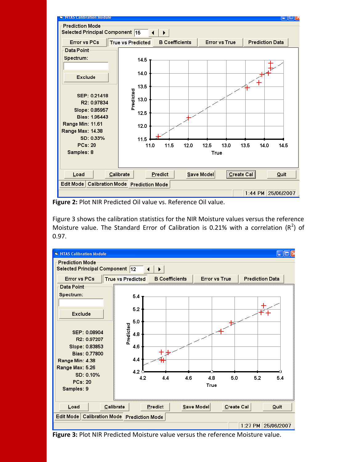

**Figure 2:** Plot NIR Predicted Oil value vs. Reference Oil value.

Figure 3 shows the calibration statistics for the NIR Moisture values versus the reference Moisture value. The Standard Error of Calibration is 0.21% with a correlation  $(R^2)$  of 0.97.



**Figure 3:** Plot NIR Predicted Moisture value versus the reference Moisture value.